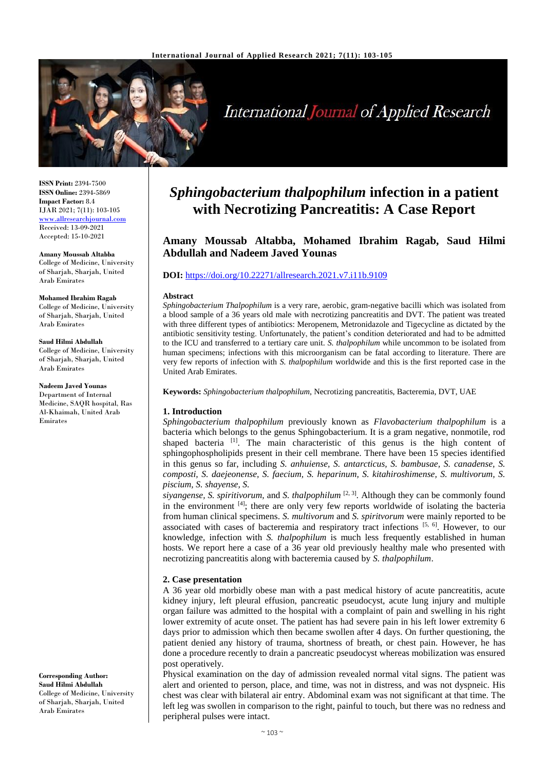

# **International Journal of Applied Research**

**ISSN Print:** 2394-7500 **ISSN Online:** 2394-5869 **Impact Factor:** 8.4 IJAR 2021; 7(11): 103-105 <www.allresearchjournal.com> Received: 13-09-2021 Accepted: 15-10-2021

**Amany Moussab Altabba** College of Medicine, University of Sharjah, Sharjah, United Arab Emirates

#### **Mohamed Ibrahim Ragab**

College of Medicine, University of Sharjah, Sharjah, United Arab Emirates

**Saud Hilmi Abdullah**  College of Medicine, University of Sharjah, Sharjah, United Arab Emirates

**Nadeem Javed Younas** Department of Internal Medicine, SAQR hospital, Ras Al-Khaimah, United Arab Emirates

**Corresponding Author: Saud Hilmi Abdullah**  College of Medicine, University of Sharjah, Sharjah, United Arab Emirates

# *Sphingobacterium thalpophilum* **infection in a patient with Necrotizing Pancreatitis: A Case Report**

# **Amany Moussab Altabba, Mohamed Ibrahim Ragab, Saud Hilmi Abdullah and Nadeem Javed Younas**

#### **DOI:** <https://doi.org/10.22271/allresearch.2021.v7.i11b.9109>

#### **Abstract**

*Sphingobacterium Thalpophilum* is a very rare, aerobic, gram-negative bacilli which was isolated from a blood sample of a 36 years old male with necrotizing pancreatitis and DVT. The patient was treated with three different types of antibiotics: Meropenem, Metronidazole and Tigecycline as dictated by the antibiotic sensitivity testing. Unfortunately, the patient's condition deteriorated and had to be admitted to the ICU and transferred to a tertiary care unit. *S. thalpophilum* while uncommon to be isolated from human specimens; infections with this microorganism can be fatal according to literature. There are very few reports of infection with *S. thalpophilum* worldwide and this is the first reported case in the United Arab Emirates.

**Keywords:** *Sphingobacterium thalpophilum*, Necrotizing pancreatitis, Bacteremia, DVT, UAE

#### **1. Introduction**

*Sphingobacterium thalpophilum* previously known as *Flavobacterium thalpophilum* is a bacteria which belongs to the genus Sphingobacterium. It is a gram negative, nonmotile, rod shaped bacteria [1]. The main characteristic of this genus is the high content of sphingophospholipids present in their cell membrane. There have been 15 species identified in this genus so far, including *S. anhuiense, S. antarcticus, S. bambusae, S. canadense, S. composti, S. daejeonense, S. faecium, S. heparinum, S. kitahiroshimense, S. multivorum, S. piscium, S. shayense, S.*

*siyangense, S. spiritivorum,* and *S. thalpophilum* [2, 3] *.* Although they can be commonly found in the environment  $[4]$ ; there are only very few reports worldwide of isolating the bacteria from human clinical specimens. *S. multivorum* and *S. spiritvorum* were mainly reported to be associated with cases of bacteremia and respiratory tract infections  $[5, 6]$ . However, to our knowledge, infection with *S. thalpophilum* is much less frequently established in human hosts. We report here a case of a 36 year old previously healthy male who presented with necrotizing pancreatitis along with bacteremia caused by *S. thalpophilum*.

### **2. Case presentation**

A 36 year old morbidly obese man with a past medical history of acute pancreatitis, acute kidney injury, left pleural effusion, pancreatic pseudocyst, acute lung injury and multiple organ failure was admitted to the hospital with a complaint of pain and swelling in his right lower extremity of acute onset. The patient has had severe pain in his left lower extremity 6 days prior to admission which then became swollen after 4 days. On further questioning, the patient denied any history of trauma, shortness of breath, or chest pain. However, he has done a procedure recently to drain a pancreatic pseudocyst whereas mobilization was ensured post operatively.

Physical examination on the day of admission revealed normal vital signs. The patient was alert and oriented to person, place, and time, was not in distress, and was not dyspneic. His chest was clear with bilateral air entry. Abdominal exam was not significant at that time. The left leg was swollen in comparison to the right, painful to touch, but there was no redness and peripheral pulses were intact.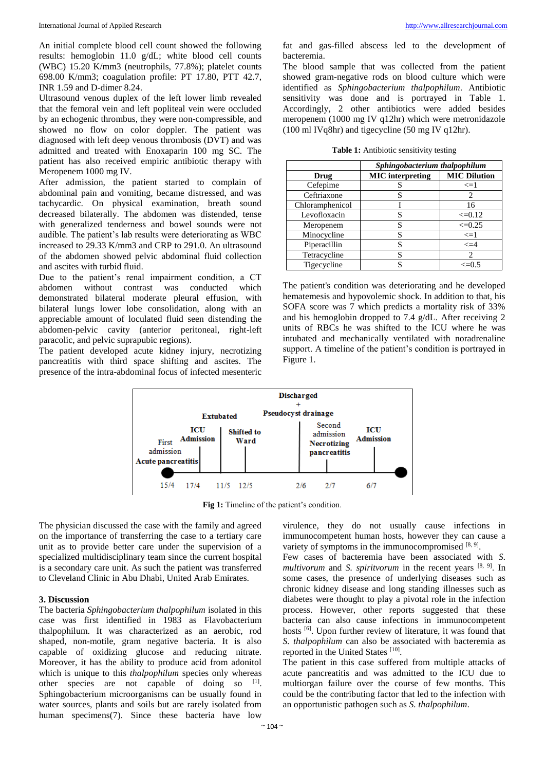An initial complete blood cell count showed the following results: hemoglobin 11.0 g/dL; white blood cell counts (WBC) 15.20 K/mm3 (neutrophils, 77.8%); platelet counts 698.00 K/mm3; coagulation profile: PT 17.80, PTT 42.7, INR 1.59 and D-dimer 8.24.

Ultrasound venous duplex of the left lower limb revealed that the femoral vein and left popliteal vein were occluded by an echogenic thrombus, they were non-compressible, and showed no flow on color doppler. The patient was diagnosed with left deep venous thrombosis (DVT) and was admitted and treated with Enoxaparin 100 mg SC. The patient has also received empiric antibiotic therapy with Meropenem 1000 mg IV.

After admission, the patient started to complain of abdominal pain and vomiting, became distressed, and was tachycardic. On physical examination, breath sound decreased bilaterally. The abdomen was distended, tense with generalized tenderness and bowel sounds were not audible. The patient's lab results were deteriorating as WBC increased to 29.33 K/mm3 and CRP to 291.0. An ultrasound of the abdomen showed pelvic abdominal fluid collection and ascites with turbid fluid.

Due to the patient's renal impairment condition, a CT abdomen without contrast was conducted which demonstrated bilateral moderate pleural effusion, with bilateral lungs lower lobe consolidation, along with an appreciable amount of loculated fluid seen distending the abdomen-pelvic cavity (anterior peritoneal, right-left paracolic, and pelvic suprapubic regions).

The patient developed acute kidney injury, necrotizing pancreatitis with third space shifting and ascites. The presence of the intra-abdominal focus of infected mesenteric

fat and gas-filled abscess led to the development of bacteremia.

The blood sample that was collected from the patient showed gram-negative rods on blood culture which were identified as *Sphingobacterium thalpophilum*. Antibiotic sensitivity was done and is portrayed in Table 1. Accordingly, 2 other antibiotics were added besides meropenem (1000 mg IV q12hr) which were metronidazole (100 ml IVq8hr) and tigecycline (50 mg IV q12hr).

| Table 1: Antibiotic sensitivity testing |  |  |  |
|-----------------------------------------|--|--|--|
|-----------------------------------------|--|--|--|

|                 | Sphingobacterium thalpophilum |                     |  |
|-----------------|-------------------------------|---------------------|--|
| Drug            | <b>MIC</b> interpreting       | <b>MIC Dilution</b> |  |
| Cefepime        |                               | $\leq 1$            |  |
| Ceftriaxone     |                               | 2                   |  |
| Chloramphenicol |                               | 16                  |  |
| Levofloxacin    |                               | $\leq 0.12$         |  |
| Meropenem       | S                             | $\leq 0.25$         |  |
| Minocycline     |                               | $\leq$ $=$ $1$      |  |
| Piperacillin    |                               | $\leq$ = 4          |  |
| Tetracycline    |                               | $\mathfrak{D}$      |  |
| Tigecycline     |                               | $\leq=0.5$          |  |

The patient's condition was deteriorating and he developed hematemesis and hypovolemic shock. In addition to that, his SOFA score was 7 which predicts a mortality risk of 33% and his hemoglobin dropped to 7.4 g/dL. After receiving 2 units of RBCs he was shifted to the ICU where he was intubated and mechanically ventilated with noradrenaline support. A timeline of the patient's condition is portrayed in Figure 1.



**Fig 1:** Timeline of the patient's condition.

The physician discussed the case with the family and agreed on the importance of transferring the case to a tertiary care unit as to provide better care under the supervision of a specialized multidisciplinary team since the current hospital is a secondary care unit. As such the patient was transferred to Cleveland Clinic in Abu Dhabi, United Arab Emirates.

# **3. Discussion**

The bacteria *Sphingobacterium thalpophilum* isolated in this case was first identified in 1983 as Flavobacterium thalpophilum. It was characterized as an aerobic, rod shaped, non-motile, gram negative bacteria. It is also capable of oxidizing glucose and reducing nitrate. Moreover, it has the ability to produce acid from adonitol which is unique to this *thalpophilum* species only whereas other species are not capable of doing so [1]. Sphingobacterium microorganisms can be usually found in water sources, plants and soils but are rarely isolated from human specimens(7). Since these bacteria have low

virulence, they do not usually cause infections in immunocompetent human hosts, however they can cause a variety of symptoms in the immunocompromised  $[8, 9]$ .

Few cases of bacteremia have been associated with *S. multivorum* and *S. spiritvorum* in the recent years <sup>[8, 9]</sup>. In some cases, the presence of underlying diseases such as chronic kidney disease and long standing illnesses such as diabetes were thought to play a pivotal role in the infection process. However, other reports suggested that these bacteria can also cause infections in immunocompetent hosts <sup>[6]</sup>. Upon further review of literature, it was found that *S. thalpophilum* can also be associated with bacteremia as reported in the United States [10].

The patient in this case suffered from multiple attacks of acute pancreatitis and was admitted to the ICU due to multiorgan failure over the course of few months. This could be the contributing factor that led to the infection with an opportunistic pathogen such as *S. thalpophilum*.